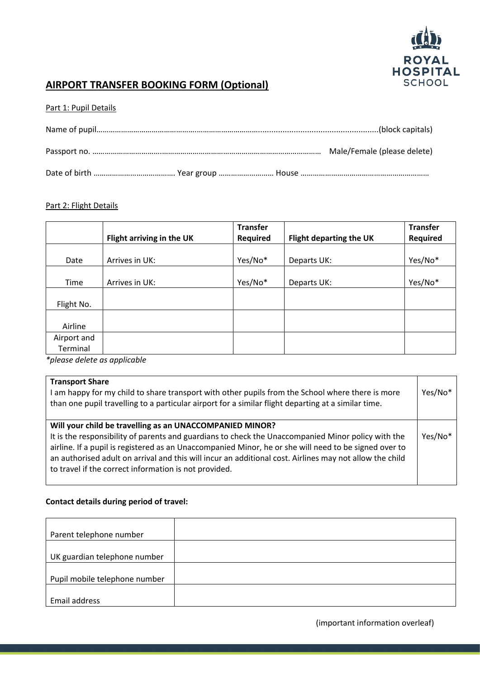

# **AIRPORT TRANSFER BOOKING FORM (Optional)**

## Part 1: Pupil Details

## Part 2: Flight Details

|             |                           | <b>Transfer</b> |                         | <b>Transfer</b> |
|-------------|---------------------------|-----------------|-------------------------|-----------------|
|             | Flight arriving in the UK | Required        | Flight departing the UK | Required        |
|             |                           |                 |                         |                 |
| Date        | Arrives in UK:            | Yes/No*         | Departs UK:             | Yes/No*         |
|             |                           |                 |                         |                 |
| Time        | Arrives in UK:            | Yes/No*         | Departs UK:             | Yes/No*         |
|             |                           |                 |                         |                 |
| Flight No.  |                           |                 |                         |                 |
|             |                           |                 |                         |                 |
| Airline     |                           |                 |                         |                 |
| Airport and |                           |                 |                         |                 |
| Terminal    |                           |                 |                         |                 |

*\*please delete as applicable*

#### **Transport Share**

I am happy for my child to share transport with other pupils from the School where there is more than one pupil travelling to a particular airport for a similar flight departing at a similar time. Yes/No\*

## **Will your child be travelling as an UNACCOMPANIED MINOR?**

It is the responsibility of parents and guardians to check the Unaccompanied Minor policy with the airline. If a pupil is registered as an Unaccompanied Minor, he or she will need to be signed over to an authorised adult on arrival and this will incur an additional cost. Airlines may not allow the child to travel if the correct information is not provided. Yes/No\*

#### **Contact details during period of travel:**

| Parent telephone number       |  |
|-------------------------------|--|
|                               |  |
| UK guardian telephone number  |  |
|                               |  |
| Pupil mobile telephone number |  |
|                               |  |
| Email address                 |  |

(important information overleaf)